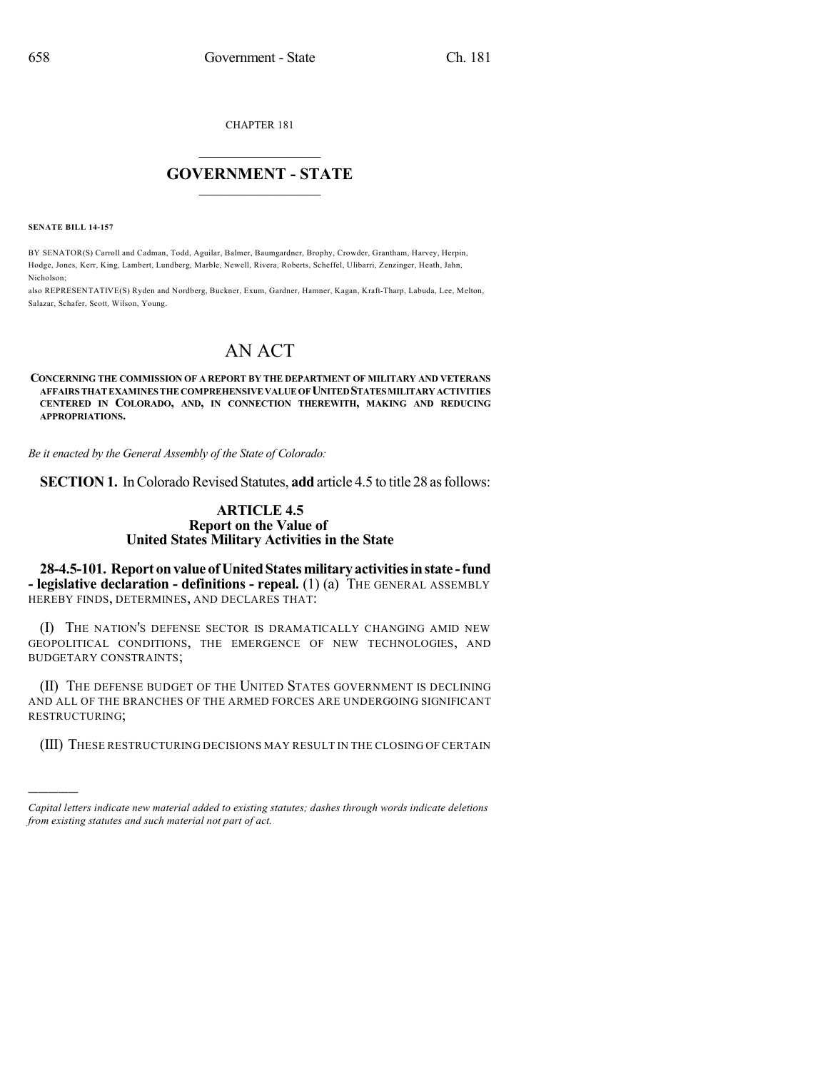CHAPTER 181

## $\mathcal{L}_\text{max}$  . The set of the set of the set of the set of the set of the set of the set of the set of the set of the set of the set of the set of the set of the set of the set of the set of the set of the set of the set **GOVERNMENT - STATE**  $\_$   $\_$   $\_$   $\_$   $\_$   $\_$   $\_$   $\_$

**SENATE BILL 14-157**

)))))

BY SENATOR(S) Carroll and Cadman, Todd, Aguilar, Balmer, Baumgardner, Brophy, Crowder, Grantham, Harvey, Herpin, Hodge, Jones, Kerr, King, Lambert, Lundberg, Marble, Newell, Rivera, Roberts, Scheffel, Ulibarri, Zenzinger, Heath, Jahn, Nicholson;

also REPRESENTATIVE(S) Ryden and Nordberg, Buckner, Exum, Gardner, Hamner, Kagan, Kraft-Tharp, Labuda, Lee, Melton, Salazar, Schafer, Scott, Wilson, Young.

## AN ACT

**CONCERNING THE COMMISSION OF A REPORT BY THE DEPARTMENT OF MILITARY AND VETERANS AFFAIRS THATEXAMINES THECOMPREHENSIVEVALUEOFUNITEDSTATESMILITARYACTIVITIES CENTERED IN COLORADO, AND, IN CONNECTION THEREWITH, MAKING AND REDUCING APPROPRIATIONS.**

*Be it enacted by the General Assembly of the State of Colorado:*

**SECTION 1.** In Colorado Revised Statutes, **add** article 4.5 to title 28 as follows:

## **ARTICLE 4.5 Report on the Value of United States Military Activities in the State**

**28-4.5-101. Report onvalue ofUnitedStatesmilitary activitiesinstate -fund - legislative declaration - definitions - repeal.** (1) (a) THE GENERAL ASSEMBLY HEREBY FINDS, DETERMINES, AND DECLARES THAT:

(I) THE NATION'S DEFENSE SECTOR IS DRAMATICALLY CHANGING AMID NEW GEOPOLITICAL CONDITIONS, THE EMERGENCE OF NEW TECHNOLOGIES, AND BUDGETARY CONSTRAINTS;

(II) THE DEFENSE BUDGET OF THE UNITED STATES GOVERNMENT IS DECLINING AND ALL OF THE BRANCHES OF THE ARMED FORCES ARE UNDERGOING SIGNIFICANT RESTRUCTURING;

(III) THESE RESTRUCTURING DECISIONS MAY RESULT IN THE CLOSING OF CERTAIN

*Capital letters indicate new material added to existing statutes; dashes through words indicate deletions from existing statutes and such material not part of act.*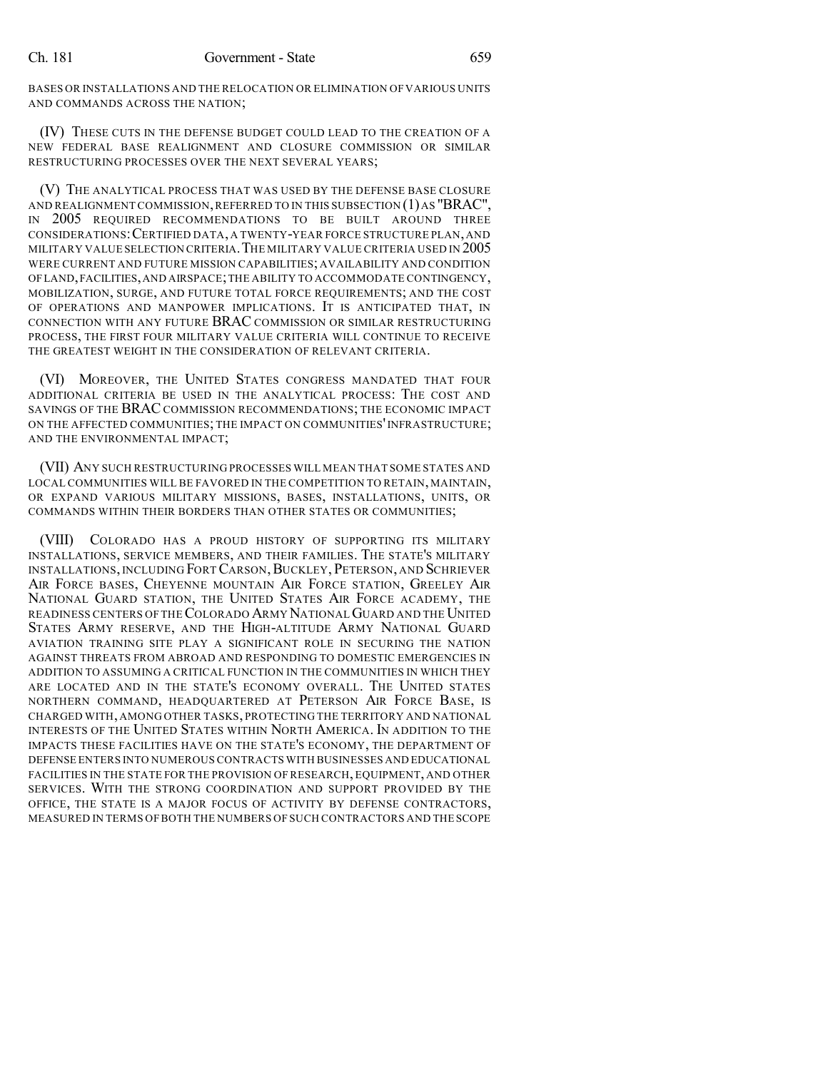BASES OR INSTALLATIONS AND THE RELOCATION OR ELIMINATION OF VARIOUS UNITS AND COMMANDS ACROSS THE NATION;

(IV) THESE CUTS IN THE DEFENSE BUDGET COULD LEAD TO THE CREATION OF A NEW FEDERAL BASE REALIGNMENT AND CLOSURE COMMISSION OR SIMILAR RESTRUCTURING PROCESSES OVER THE NEXT SEVERAL YEARS;

(V) THE ANALYTICAL PROCESS THAT WAS USED BY THE DEFENSE BASE CLOSURE AND REALIGNMENT COMMISSION, REFERRED TO IN THIS SUBSECTION  $(1)$  AS "BRAC", IN 2005 REQUIRED RECOMMENDATIONS TO BE BUILT AROUND THREE CONSIDERATIONS:CERTIFIED DATA, A TWENTY-YEAR FORCE STRUCTURE PLAN,AND MILITARY VALUE SELECTION CRITERIA.THE MILITARY VALUE CRITERIA USED IN 2005 WERE CURRENT AND FUTURE MISSION CAPABILITIES; AVAILABILITY AND CONDITION OFLAND,FACILITIES,AND AIRSPACE;THE ABILITY TO ACCOMMODATE CONTINGENCY, MOBILIZATION, SURGE, AND FUTURE TOTAL FORCE REQUIREMENTS; AND THE COST OF OPERATIONS AND MANPOWER IMPLICATIONS. IT IS ANTICIPATED THAT, IN CONNECTION WITH ANY FUTURE BRAC COMMISSION OR SIMILAR RESTRUCTURING PROCESS, THE FIRST FOUR MILITARY VALUE CRITERIA WILL CONTINUE TO RECEIVE THE GREATEST WEIGHT IN THE CONSIDERATION OF RELEVANT CRITERIA.

(VI) MOREOVER, THE UNITED STATES CONGRESS MANDATED THAT FOUR ADDITIONAL CRITERIA BE USED IN THE ANALYTICAL PROCESS: THE COST AND SAVINGS OF THE BRAC COMMISSION RECOMMENDATIONS; THE ECONOMIC IMPACT ON THE AFFECTED COMMUNITIES; THE IMPACT ON COMMUNITIES'INFRASTRUCTURE; AND THE ENVIRONMENTAL IMPACT;

(VII) ANY SUCH RESTRUCTURING PROCESSES WILL MEAN THAT SOME STATES AND LOCAL COMMUNITIES WILL BE FAVORED IN THE COMPETITION TO RETAIN, MAINTAIN, OR EXPAND VARIOUS MILITARY MISSIONS, BASES, INSTALLATIONS, UNITS, OR COMMANDS WITHIN THEIR BORDERS THAN OTHER STATES OR COMMUNITIES;

(VIII) COLORADO HAS A PROUD HISTORY OF SUPPORTING ITS MILITARY INSTALLATIONS, SERVICE MEMBERS, AND THEIR FAMILIES. THE STATE'S MILITARY INSTALLATIONS, INCLUDING FORTCARSON,BUCKLEY, PETERSON, AND SCHRIEVER AIR FORCE BASES, CHEYENNE MOUNTAIN AIR FORCE STATION, GREELEY AIR NATIONAL GUARD STATION, THE UNITED STATES AIR FORCE ACADEMY, THE READINESS CENTERS OF THECOLORADO ARMY NATIONALGUARD AND THE UNITED STATES ARMY RESERVE, AND THE HIGH-ALTITUDE ARMY NATIONAL GUARD AVIATION TRAINING SITE PLAY A SIGNIFICANT ROLE IN SECURING THE NATION AGAINST THREATS FROM ABROAD AND RESPONDING TO DOMESTIC EMERGENCIES IN ADDITION TO ASSUMING A CRITICAL FUNCTION IN THE COMMUNITIES IN WHICH THEY ARE LOCATED AND IN THE STATE'S ECONOMY OVERALL. THE UNITED STATES NORTHERN COMMAND, HEADQUARTERED AT PETERSON AIR FORCE BASE, IS CHARGED WITH, AMONG OTHER TASKS, PROTECTING THE TERRITORY AND NATIONAL INTERESTS OF THE UNITED STATES WITHIN NORTH AMERICA. IN ADDITION TO THE IMPACTS THESE FACILITIES HAVE ON THE STATE'S ECONOMY, THE DEPARTMENT OF DEFENSE ENTERS INTO NUMEROUS CONTRACTS WITH BUSINESSES AND EDUCATIONAL FACILITIES IN THE STATE FOR THE PROVISION OF RESEARCH, EQUIPMENT, AND OTHER SERVICES. WITH THE STRONG COORDINATION AND SUPPORT PROVIDED BY THE OFFICE, THE STATE IS A MAJOR FOCUS OF ACTIVITY BY DEFENSE CONTRACTORS, MEASURED IN TERMS OF BOTH THE NUMBERS OF SUCH CONTRACTORS AND THE SCOPE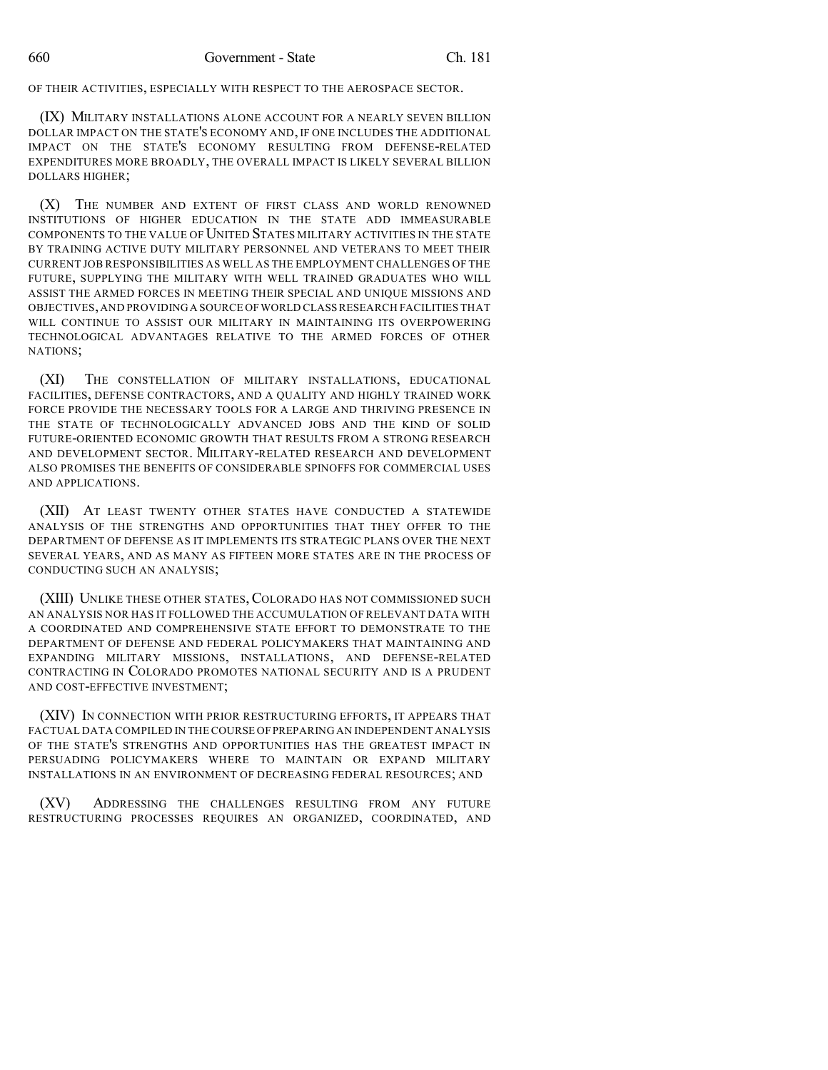OF THEIR ACTIVITIES, ESPECIALLY WITH RESPECT TO THE AEROSPACE SECTOR.

(IX) MILITARY INSTALLATIONS ALONE ACCOUNT FOR A NEARLY SEVEN BILLION DOLLAR IMPACT ON THE STATE'S ECONOMY AND, IF ONE INCLUDES THE ADDITIONAL IMPACT ON THE STATE'S ECONOMY RESULTING FROM DEFENSE-RELATED EXPENDITURES MORE BROADLY, THE OVERALL IMPACT IS LIKELY SEVERAL BILLION DOLLARS HIGHER;

(X) THE NUMBER AND EXTENT OF FIRST CLASS AND WORLD RENOWNED INSTITUTIONS OF HIGHER EDUCATION IN THE STATE ADD IMMEASURABLE COMPONENTS TO THE VALUE OF UNITED STATES MILITARY ACTIVITIES IN THE STATE BY TRAINING ACTIVE DUTY MILITARY PERSONNEL AND VETERANS TO MEET THEIR CURRENT JOB RESPONSIBILITIES AS WELL AS THE EMPLOYMENT CHALLENGES OF THE FUTURE, SUPPLYING THE MILITARY WITH WELL TRAINED GRADUATES WHO WILL ASSIST THE ARMED FORCES IN MEETING THEIR SPECIAL AND UNIQUE MISSIONS AND OBJECTIVES,AND PROVIDINGA SOURCE OFWORLD CLASSRESEARCH FACILITIES THAT WILL CONTINUE TO ASSIST OUR MILITARY IN MAINTAINING ITS OVERPOWERING TECHNOLOGICAL ADVANTAGES RELATIVE TO THE ARMED FORCES OF OTHER NATIONS;

(XI) THE CONSTELLATION OF MILITARY INSTALLATIONS, EDUCATIONAL FACILITIES, DEFENSE CONTRACTORS, AND A QUALITY AND HIGHLY TRAINED WORK FORCE PROVIDE THE NECESSARY TOOLS FOR A LARGE AND THRIVING PRESENCE IN THE STATE OF TECHNOLOGICALLY ADVANCED JOBS AND THE KIND OF SOLID FUTURE-ORIENTED ECONOMIC GROWTH THAT RESULTS FROM A STRONG RESEARCH AND DEVELOPMENT SECTOR. MILITARY-RELATED RESEARCH AND DEVELOPMENT ALSO PROMISES THE BENEFITS OF CONSIDERABLE SPINOFFS FOR COMMERCIAL USES AND APPLICATIONS.

(XII) AT LEAST TWENTY OTHER STATES HAVE CONDUCTED A STATEWIDE ANALYSIS OF THE STRENGTHS AND OPPORTUNITIES THAT THEY OFFER TO THE DEPARTMENT OF DEFENSE AS IT IMPLEMENTS ITS STRATEGIC PLANS OVER THE NEXT SEVERAL YEARS, AND AS MANY AS FIFTEEN MORE STATES ARE IN THE PROCESS OF CONDUCTING SUCH AN ANALYSIS;

(XIII) UNLIKE THESE OTHER STATES,COLORADO HAS NOT COMMISSIONED SUCH AN ANALYSIS NOR HAS IT FOLLOWED THE ACCUMULATION OF RELEVANT DATA WITH A COORDINATED AND COMPREHENSIVE STATE EFFORT TO DEMONSTRATE TO THE DEPARTMENT OF DEFENSE AND FEDERAL POLICYMAKERS THAT MAINTAINING AND EXPANDING MILITARY MISSIONS, INSTALLATIONS, AND DEFENSE-RELATED CONTRACTING IN COLORADO PROMOTES NATIONAL SECURITY AND IS A PRUDENT AND COST-EFFECTIVE INVESTMENT;

(XIV) IN CONNECTION WITH PRIOR RESTRUCTURING EFFORTS, IT APPEARS THAT FACTUAL DATA COMPILED IN THE COURSE OFPREPARING AN INDEPENDENT ANALYSIS OF THE STATE'S STRENGTHS AND OPPORTUNITIES HAS THE GREATEST IMPACT IN PERSUADING POLICYMAKERS WHERE TO MAINTAIN OR EXPAND MILITARY INSTALLATIONS IN AN ENVIRONMENT OF DECREASING FEDERAL RESOURCES; AND

(XV) ADDRESSING THE CHALLENGES RESULTING FROM ANY FUTURE RESTRUCTURING PROCESSES REQUIRES AN ORGANIZED, COORDINATED, AND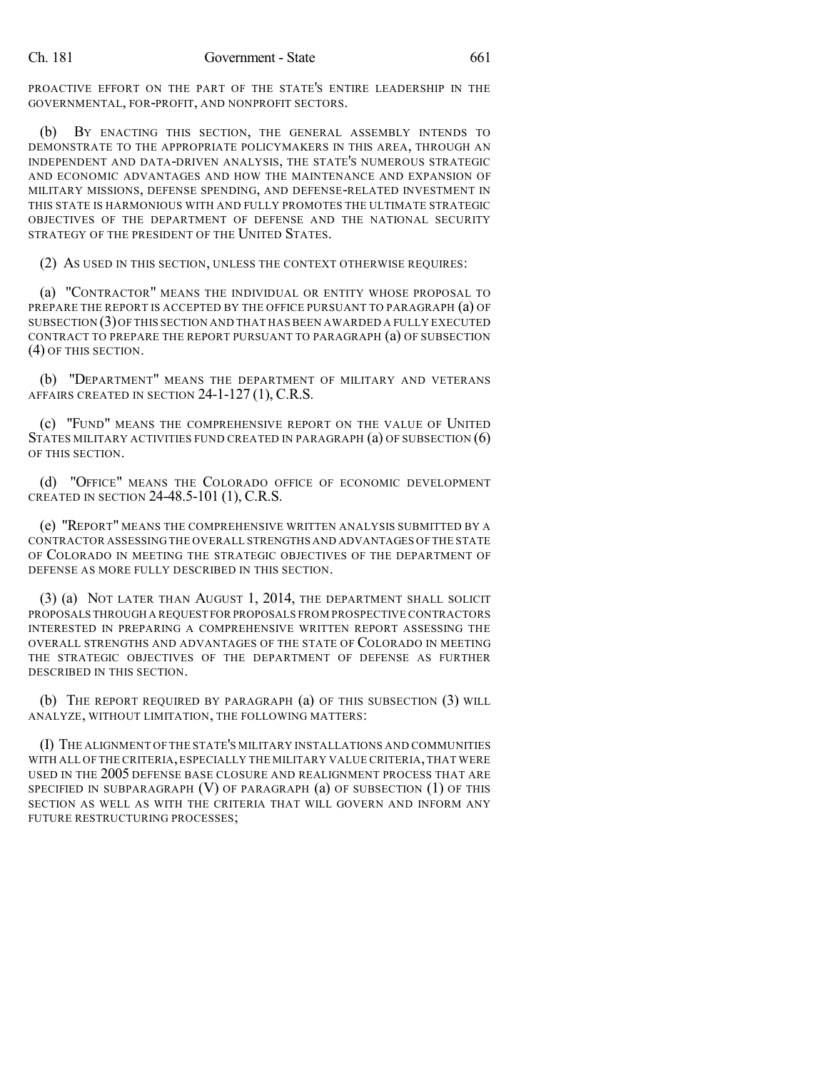PROACTIVE EFFORT ON THE PART OF THE STATE'S ENTIRE LEADERSHIP IN THE GOVERNMENTAL, FOR-PROFIT, AND NONPROFIT SECTORS.

(b) BY ENACTING THIS SECTION, THE GENERAL ASSEMBLY INTENDS TO DEMONSTRATE TO THE APPROPRIATE POLICYMAKERS IN THIS AREA, THROUGH AN INDEPENDENT AND DATA-DRIVEN ANALYSIS, THE STATE'S NUMEROUS STRATEGIC AND ECONOMIC ADVANTAGES AND HOW THE MAINTENANCE AND EXPANSION OF MILITARY MISSIONS, DEFENSE SPENDING, AND DEFENSE-RELATED INVESTMENT IN THIS STATE IS HARMONIOUS WITH AND FULLY PROMOTES THE ULTIMATE STRATEGIC OBJECTIVES OF THE DEPARTMENT OF DEFENSE AND THE NATIONAL SECURITY STRATEGY OF THE PRESIDENT OF THE UNITED STATES.

(2) AS USED IN THIS SECTION, UNLESS THE CONTEXT OTHERWISE REQUIRES:

(a) "CONTRACTOR" MEANS THE INDIVIDUAL OR ENTITY WHOSE PROPOSAL TO PREPARE THE REPORT IS ACCEPTED BY THE OFFICE PURSUANT TO PARAGRAPH (a) OF SUBSECTION (3)OF THIS SECTION AND THAT HAS BEEN AWARDED A FULLY EXECUTED CONTRACT TO PREPARE THE REPORT PURSUANT TO PARAGRAPH (a) OF SUBSECTION (4) OF THIS SECTION.

(b) "DEPARTMENT" MEANS THE DEPARTMENT OF MILITARY AND VETERANS AFFAIRS CREATED IN SECTION 24-1-127 (1), C.R.S.

(c) "FUND" MEANS THE COMPREHENSIVE REPORT ON THE VALUE OF UNITED STATES MILITARY ACTIVITIES FUND CREATED IN PARAGRAPH (a) OF SUBSECTION (6) OF THIS SECTION.

(d) "OFFICE" MEANS THE COLORADO OFFICE OF ECONOMIC DEVELOPMENT CREATED IN SECTION 24-48.5-101 (1), C.R.S.

(e) "REPORT" MEANS THE COMPREHENSIVE WRITTEN ANALYSIS SUBMITTED BY A CONTRACTOR ASSESSING THE OVERALL STRENGTHS AND ADVANTAGES OF THE STATE OF COLORADO IN MEETING THE STRATEGIC OBJECTIVES OF THE DEPARTMENT OF DEFENSE AS MORE FULLY DESCRIBED IN THIS SECTION.

(3) (a) NOT LATER THAN AUGUST 1, 2014, THE DEPARTMENT SHALL SOLICIT PROPOSALS THROUGH A REQUEST FOR PROPOSALS FROM PROSPECTIVE CONTRACTORS INTERESTED IN PREPARING A COMPREHENSIVE WRITTEN REPORT ASSESSING THE OVERALL STRENGTHS AND ADVANTAGES OF THE STATE OF COLORADO IN MEETING THE STRATEGIC OBJECTIVES OF THE DEPARTMENT OF DEFENSE AS FURTHER DESCRIBED IN THIS SECTION.

(b) THE REPORT REQUIRED BY PARAGRAPH (a) OF THIS SUBSECTION (3) WILL ANALYZE, WITHOUT LIMITATION, THE FOLLOWING MATTERS:

(I) THE ALIGNMENT OF THE STATE'S MILITARY INSTALLATIONS AND COMMUNITIES WITH ALL OF THE CRITERIA,ESPECIALLY THE MILITARY VALUE CRITERIA,THAT WERE USED IN THE 2005 DEFENSE BASE CLOSURE AND REALIGNMENT PROCESS THAT ARE SPECIFIED IN SUBPARAGRAPH  $(V)$  OF PARAGRAPH  $(a)$  OF SUBSECTION  $(1)$  OF THIS SECTION AS WELL AS WITH THE CRITERIA THAT WILL GOVERN AND INFORM ANY FUTURE RESTRUCTURING PROCESSES;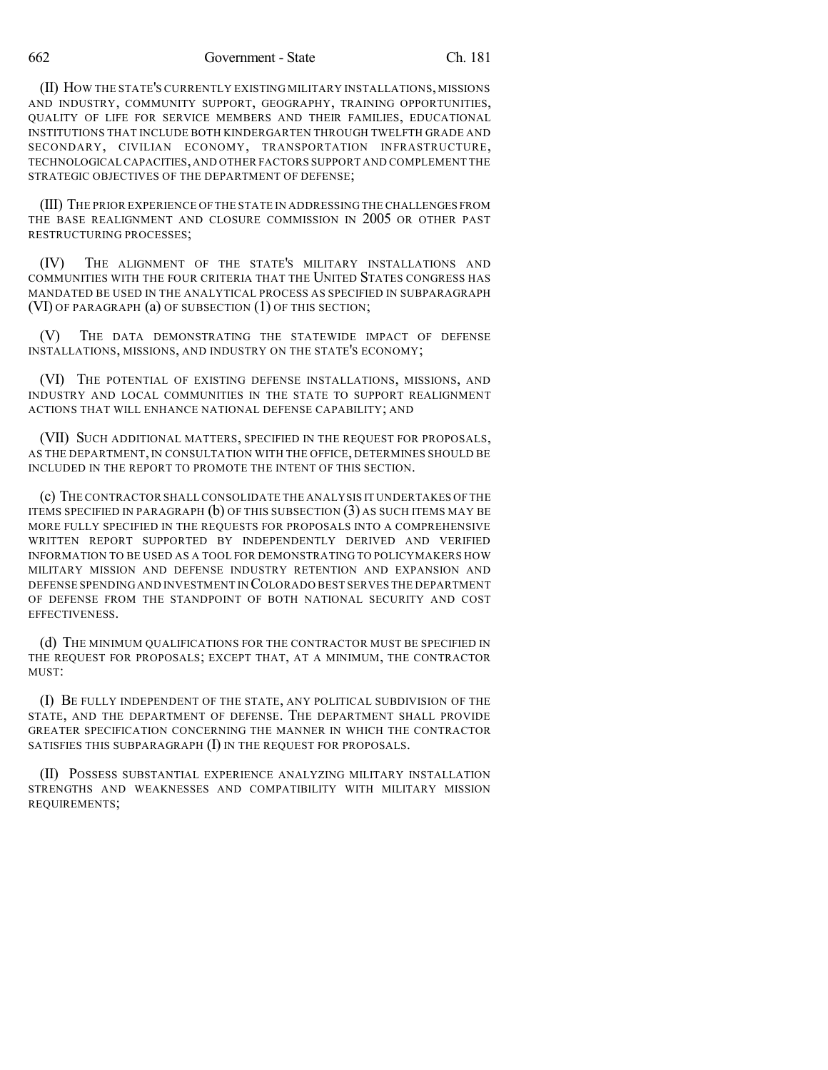662 Government - State Ch. 181

(II) HOW THE STATE'S CURRENTLY EXISTING MILITARY INSTALLATIONS, MISSIONS AND INDUSTRY, COMMUNITY SUPPORT, GEOGRAPHY, TRAINING OPPORTUNITIES, QUALITY OF LIFE FOR SERVICE MEMBERS AND THEIR FAMILIES, EDUCATIONAL INSTITUTIONS THAT INCLUDE BOTH KINDERGARTEN THROUGH TWELFTH GRADE AND SECONDARY, CIVILIAN ECONOMY, TRANSPORTATION INFRASTRUCTURE, TECHNOLOGICAL CAPACITIES,AND OTHER FACTORS SUPPORT AND COMPLEMENT THE STRATEGIC OBJECTIVES OF THE DEPARTMENT OF DEFENSE;

(III) THE PRIOR EXPERIENCE OFTHE STATE IN ADDRESSING THE CHALLENGES FROM THE BASE REALIGNMENT AND CLOSURE COMMISSION IN 2005 OR OTHER PAST RESTRUCTURING PROCESSES;

(IV) THE ALIGNMENT OF THE STATE'S MILITARY INSTALLATIONS AND COMMUNITIES WITH THE FOUR CRITERIA THAT THE UNITED STATES CONGRESS HAS MANDATED BE USED IN THE ANALYTICAL PROCESS AS SPECIFIED IN SUBPARAGRAPH (VI) OF PARAGRAPH (a) OF SUBSECTION (1) OF THIS SECTION;

(V) THE DATA DEMONSTRATING THE STATEWIDE IMPACT OF DEFENSE INSTALLATIONS, MISSIONS, AND INDUSTRY ON THE STATE'S ECONOMY;

(VI) THE POTENTIAL OF EXISTING DEFENSE INSTALLATIONS, MISSIONS, AND INDUSTRY AND LOCAL COMMUNITIES IN THE STATE TO SUPPORT REALIGNMENT ACTIONS THAT WILL ENHANCE NATIONAL DEFENSE CAPABILITY; AND

(VII) SUCH ADDITIONAL MATTERS, SPECIFIED IN THE REQUEST FOR PROPOSALS, AS THE DEPARTMENT, IN CONSULTATION WITH THE OFFICE, DETERMINES SHOULD BE INCLUDED IN THE REPORT TO PROMOTE THE INTENT OF THIS SECTION.

(c) THE CONTRACTOR SHALL CONSOLIDATE THE ANALYSIS IT UNDERTAKES OF THE ITEMS SPECIFIED IN PARAGRAPH (b) OF THIS SUBSECTION (3) AS SUCH ITEMS MAY BE MORE FULLY SPECIFIED IN THE REQUESTS FOR PROPOSALS INTO A COMPREHENSIVE WRITTEN REPORT SUPPORTED BY INDEPENDENTLY DERIVED AND VERIFIED INFORMATION TO BE USED AS A TOOL FOR DEMONSTRATING TO POLICYMAKERS HOW MILITARY MISSION AND DEFENSE INDUSTRY RETENTION AND EXPANSION AND DEFENSE SPENDING AND INVESTMENT IN COLORADO BEST SERVES THE DEPARTMENT OF DEFENSE FROM THE STANDPOINT OF BOTH NATIONAL SECURITY AND COST EFFECTIVENESS.

(d) THE MINIMUM QUALIFICATIONS FOR THE CONTRACTOR MUST BE SPECIFIED IN THE REQUEST FOR PROPOSALS; EXCEPT THAT, AT A MINIMUM, THE CONTRACTOR MUST<sup>\*</sup>

(I) BE FULLY INDEPENDENT OF THE STATE, ANY POLITICAL SUBDIVISION OF THE STATE, AND THE DEPARTMENT OF DEFENSE. THE DEPARTMENT SHALL PROVIDE GREATER SPECIFICATION CONCERNING THE MANNER IN WHICH THE CONTRACTOR SATISFIES THIS SUBPARAGRAPH (I) IN THE REQUEST FOR PROPOSALS.

(II) POSSESS SUBSTANTIAL EXPERIENCE ANALYZING MILITARY INSTALLATION STRENGTHS AND WEAKNESSES AND COMPATIBILITY WITH MILITARY MISSION REQUIREMENTS;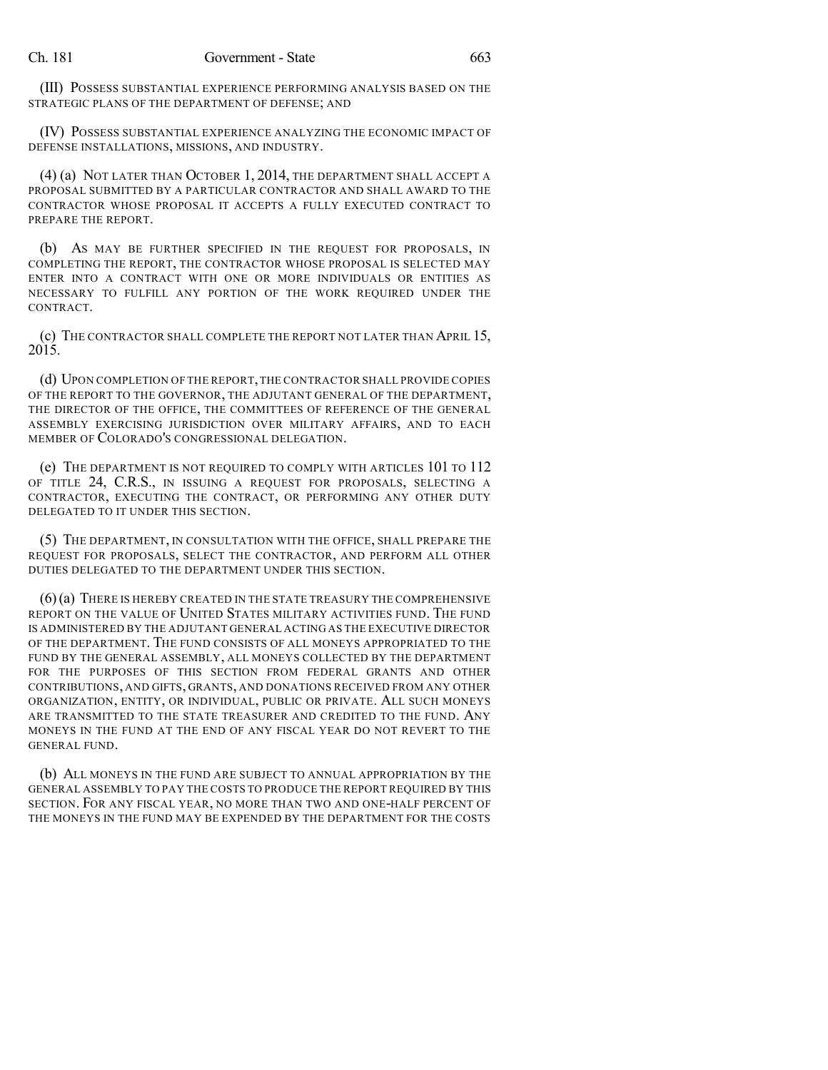(III) POSSESS SUBSTANTIAL EXPERIENCE PERFORMING ANALYSIS BASED ON THE STRATEGIC PLANS OF THE DEPARTMENT OF DEFENSE; AND

(IV) POSSESS SUBSTANTIAL EXPERIENCE ANALYZING THE ECONOMIC IMPACT OF DEFENSE INSTALLATIONS, MISSIONS, AND INDUSTRY.

(4) (a) NOT LATER THAN OCTOBER 1, 2014, THE DEPARTMENT SHALL ACCEPT A PROPOSAL SUBMITTED BY A PARTICULAR CONTRACTOR AND SHALL AWARD TO THE CONTRACTOR WHOSE PROPOSAL IT ACCEPTS A FULLY EXECUTED CONTRACT TO PREPARE THE REPORT.

(b) AS MAY BE FURTHER SPECIFIED IN THE REQUEST FOR PROPOSALS, IN COMPLETING THE REPORT, THE CONTRACTOR WHOSE PROPOSAL IS SELECTED MAY ENTER INTO A CONTRACT WITH ONE OR MORE INDIVIDUALS OR ENTITIES AS NECESSARY TO FULFILL ANY PORTION OF THE WORK REQUIRED UNDER THE CONTRACT.

(c) THE CONTRACTOR SHALL COMPLETE THE REPORT NOT LATER THAN APRIL 15, 2015.

(d) UPON COMPLETION OF THE REPORT,THE CONTRACTOR SHALL PROVIDE COPIES OF THE REPORT TO THE GOVERNOR, THE ADJUTANT GENERAL OF THE DEPARTMENT, THE DIRECTOR OF THE OFFICE, THE COMMITTEES OF REFERENCE OF THE GENERAL ASSEMBLY EXERCISING JURISDICTION OVER MILITARY AFFAIRS, AND TO EACH MEMBER OF COLORADO'S CONGRESSIONAL DELEGATION.

(e) THE DEPARTMENT IS NOT REQUIRED TO COMPLY WITH ARTICLES 101 TO 112 OF TITLE 24, C.R.S., IN ISSUING A REQUEST FOR PROPOSALS, SELECTING A CONTRACTOR, EXECUTING THE CONTRACT, OR PERFORMING ANY OTHER DUTY DELEGATED TO IT UNDER THIS SECTION.

(5) THE DEPARTMENT, IN CONSULTATION WITH THE OFFICE, SHALL PREPARE THE REQUEST FOR PROPOSALS, SELECT THE CONTRACTOR, AND PERFORM ALL OTHER DUTIES DELEGATED TO THE DEPARTMENT UNDER THIS SECTION.

(6)(a) THERE IS HEREBY CREATED IN THE STATE TREASURY THE COMPREHENSIVE REPORT ON THE VALUE OF UNITED STATES MILITARY ACTIVITIES FUND. THE FUND IS ADMINISTERED BY THE ADJUTANT GENERAL ACTING AS THE EXECUTIVE DIRECTOR OF THE DEPARTMENT. THE FUND CONSISTS OF ALL MONEYS APPROPRIATED TO THE FUND BY THE GENERAL ASSEMBLY, ALL MONEYS COLLECTED BY THE DEPARTMENT FOR THE PURPOSES OF THIS SECTION FROM FEDERAL GRANTS AND OTHER CONTRIBUTIONS, AND GIFTS, GRANTS, AND DONATIONS RECEIVED FROM ANY OTHER ORGANIZATION, ENTITY, OR INDIVIDUAL, PUBLIC OR PRIVATE. ALL SUCH MONEYS ARE TRANSMITTED TO THE STATE TREASURER AND CREDITED TO THE FUND. ANY MONEYS IN THE FUND AT THE END OF ANY FISCAL YEAR DO NOT REVERT TO THE GENERAL FUND.

(b) ALL MONEYS IN THE FUND ARE SUBJECT TO ANNUAL APPROPRIATION BY THE GENERAL ASSEMBLY TO PAY THE COSTS TO PRODUCE THE REPORT REQUIRED BY THIS SECTION. FOR ANY FISCAL YEAR, NO MORE THAN TWO AND ONE-HALF PERCENT OF THE MONEYS IN THE FUND MAY BE EXPENDED BY THE DEPARTMENT FOR THE COSTS